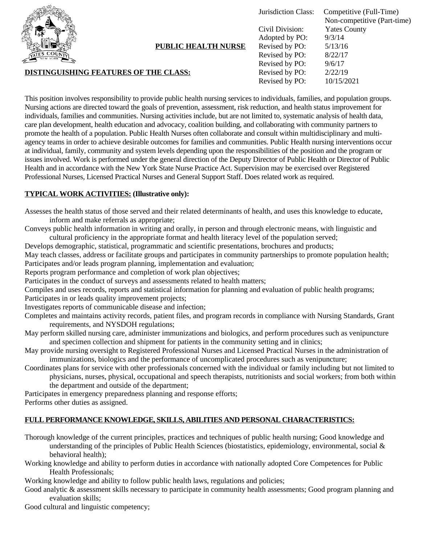

**PUBLIC HEALTH NURSE**

### **DISTINGUISHING FEATURES OF THE CLASS:**

Jurisdiction Class: Competitive (Full-Time) Non-competitive (Part-time) Civil Division: Yates County Adopted by PO: 9/3/14 Revised by PO: 5/13/16 Revised by PO: 8/22/17 Revised by PO: 9/6/17 Revised by PO: 2/22/19 Revised by PO: 10/15/2021

This position involves responsibility to provide public health nursing services to individuals, families, and population groups. Nursing actions are directed toward the goals of prevention, assessment, risk reduction, and health status improvement for individuals, families and communities. Nursing activities include, but are not limited to, systematic analysis of health data, care plan development, health education and advocacy, coalition building, and collaborating with community partners to promote the health of a population. Public Health Nurses often collaborate and consult within multidisciplinary and multiagency teams in order to achieve desirable outcomes for families and communities. Public Health nursing interventions occur at individual, family, community and system levels depending upon the responsibilities of the position and the program or issues involved. Work is performed under the general direction of the Deputy Director of Public Health or Director of Public Health and in accordance with the New York State Nurse Practice Act. Supervision may be exercised over Registered Professional Nurses, Licensed Practical Nurses and General Support Staff. Does related work as required.

## **TYPICAL WORK ACTIVITIES: (Illustrative only):**

Assesses the health status of those served and their related determinants of health, and uses this knowledge to educate, inform and make referrals as appropriate;

Conveys public health information in writing and orally, in person and through electronic means, with linguistic and cultural proficiency in the appropriate format and health literacy level of the population served;

Develops demographic, statistical, programmatic and scientific presentations, brochures and products;

May teach classes, address or facilitate groups and participates in community partnerships to promote population health; Participates and/or leads program planning, implementation and evaluation;

Reports program performance and completion of work plan objectives;

Participates in the conduct of surveys and assessments related to health matters;

Compiles and uses records, reports and statistical information for planning and evaluation of public health programs; Participates in or leads quality improvement projects;

Investigates reports of communicable disease and infection;

Completes and maintains activity records, patient files, and program records in compliance with Nursing Standards, Grant requirements, and NYSDOH regulations;

- May perform skilled nursing care, administer immunizations and biologics, and perform procedures such as venipuncture and specimen collection and shipment for patients in the community setting and in clinics;
- May provide nursing oversight to Registered Professional Nurses and Licensed Practical Nurses in the administration of immunizations, biologics and the performance of uncomplicated procedures such as venipuncture;

Coordinates plans for service with other professionals concerned with the individual or family including but not limited to physicians, nurses, physical, occupational and speech therapists, nutritionists and social workers; from both within the department and outside of the department;

Participates in emergency preparedness planning and response efforts; Performs other duties as assigned.

#### **FULL PERFORMANCE KNOWLEDGE, SKILLS, ABILITIES AND PERSONAL CHARACTERISTICS:**

Thorough knowledge of the current principles, practices and techniques of public health nursing; Good knowledge and understanding of the principles of Public Health Sciences (biostatistics, epidemiology, environmental, social  $\&$ behavioral health);

Working knowledge and ability to perform duties in accordance with nationally adopted Core Competences for Public Health Professionals;

Working knowledge and ability to follow public health laws, regulations and policies;

Good analytic & assessment skills necessary to participate in community health assessments; Good program planning and evaluation skills;

Good cultural and linguistic competency;